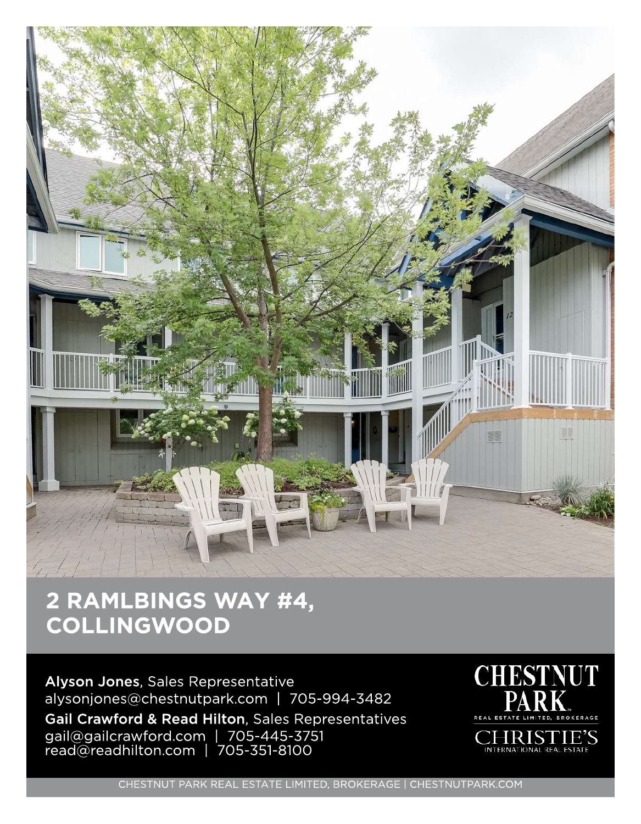

## 2 RAMLBINGS WAY #4, **COLLINGWOOD**

Alyson Jones, Sales Representative alysonjones@chestnutpark.com | 705-994-3482 Gail Crawford & Read Hilton, Sales Representatives gail@gailcrawford.com | 705-445-3751 read@readhilton.com | 705-351-810C



CHESTNUT PARK REAL ESTATE LIMITED, BROKERAGE | CHESTNUTPARK.COM